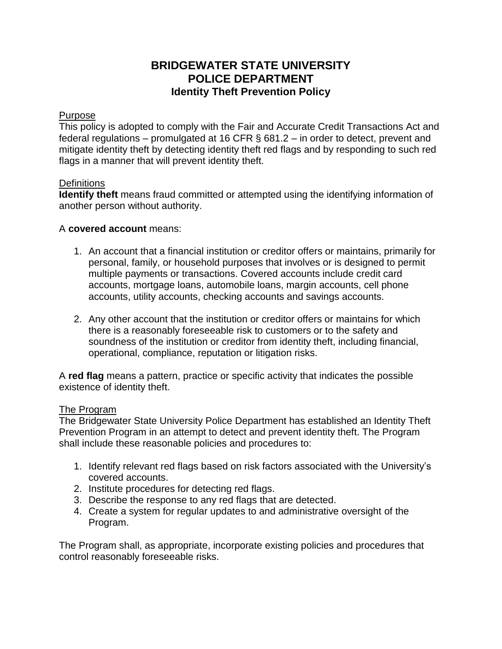# **BRIDGEWATER STATE UNIVERSITY POLICE DEPARTMENT Identity Theft Prevention Policy**

## Purpose

This policy is adopted to comply with the Fair and Accurate Credit Transactions Act and federal regulations – promulgated at 16 CFR § 681.2 – in order to detect, prevent and mitigate identity theft by detecting identity theft red flags and by responding to such red flags in a manner that will prevent identity theft.

### **Definitions**

**Identify theft** means fraud committed or attempted using the identifying information of another person without authority.

# A **covered account** means:

- 1. An account that a financial institution or creditor offers or maintains, primarily for personal, family, or household purposes that involves or is designed to permit multiple payments or transactions. Covered accounts include credit card accounts, mortgage loans, automobile loans, margin accounts, cell phone accounts, utility accounts, checking accounts and savings accounts.
- 2. Any other account that the institution or creditor offers or maintains for which there is a reasonably foreseeable risk to customers or to the safety and soundness of the institution or creditor from identity theft, including financial, operational, compliance, reputation or litigation risks.

A **red flag** means a pattern, practice or specific activity that indicates the possible existence of identity theft.

### The Program

The Bridgewater State University Police Department has established an Identity Theft Prevention Program in an attempt to detect and prevent identity theft. The Program shall include these reasonable policies and procedures to:

- 1. Identify relevant red flags based on risk factors associated with the University's covered accounts.
- 2. Institute procedures for detecting red flags.
- 3. Describe the response to any red flags that are detected.
- 4. Create a system for regular updates to and administrative oversight of the Program.

The Program shall, as appropriate, incorporate existing policies and procedures that control reasonably foreseeable risks.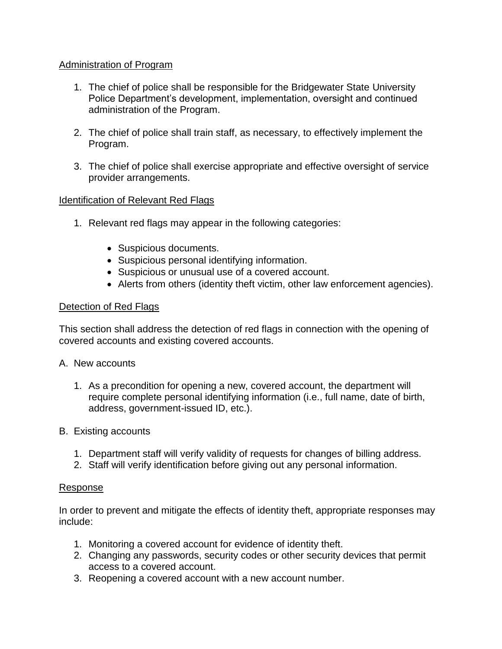# Administration of Program

- 1. The chief of police shall be responsible for the Bridgewater State University Police Department's development, implementation, oversight and continued administration of the Program.
- 2. The chief of police shall train staff, as necessary, to effectively implement the Program.
- 3. The chief of police shall exercise appropriate and effective oversight of service provider arrangements.

# **Identification of Relevant Red Flags**

- 1. Relevant red flags may appear in the following categories:
	- Suspicious documents.
	- Suspicious personal identifying information.
	- Suspicious or unusual use of a covered account.
	- Alerts from others (identity theft victim, other law enforcement agencies).

### Detection of Red Flags

This section shall address the detection of red flags in connection with the opening of covered accounts and existing covered accounts.

### A. New accounts

- 1. As a precondition for opening a new, covered account, the department will require complete personal identifying information (i.e., full name, date of birth, address, government-issued ID, etc.).
- B. Existing accounts
	- 1. Department staff will verify validity of requests for changes of billing address.
	- 2. Staff will verify identification before giving out any personal information.

#### Response

In order to prevent and mitigate the effects of identity theft, appropriate responses may include:

- 1. Monitoring a covered account for evidence of identity theft.
- 2. Changing any passwords, security codes or other security devices that permit access to a covered account.
- 3. Reopening a covered account with a new account number.